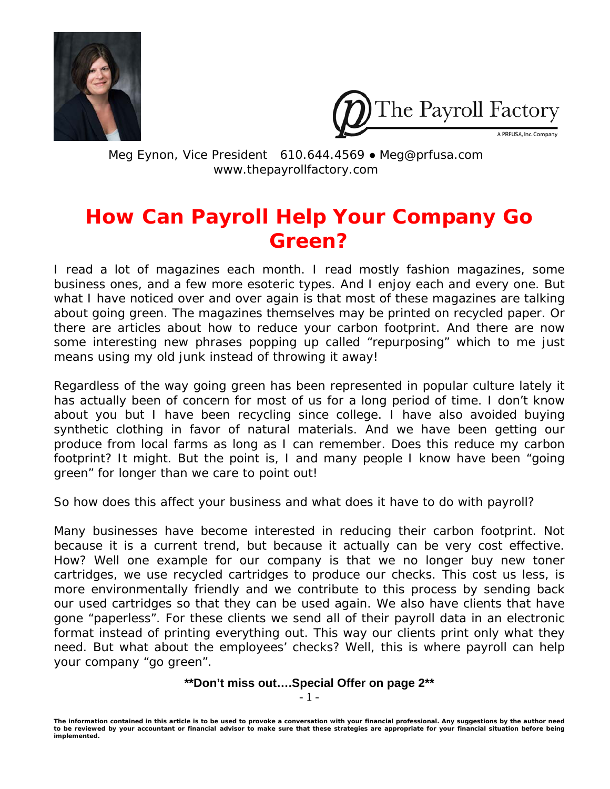



Meg Eynon, Vice President 610.644.4569 ● Meg@prfusa.com www.thepayrollfactory.com

# **How Can Payroll Help Your Company Go Green?**

I read a lot of magazines each month. I read mostly fashion magazines, some business ones, and a few more esoteric types. And I enjoy each and every one. But what I have noticed over and over again is that most of these magazines are talking about going green. The magazines themselves may be printed on recycled paper. Or there are articles about how to reduce your carbon footprint. And there are now some interesting new phrases popping up called "repurposing" which to me just means using my old junk instead of throwing it away!

Regardless of the way going green has been represented in popular culture lately it has actually been of concern for most of us for a long period of time. I don't know about you but I have been recycling since college. I have also avoided buying synthetic clothing in favor of natural materials. And we have been getting our produce from local farms as long as I can remember. Does this reduce my carbon footprint? It might. But the point is, I and many people I know have been "going green" for longer than we care to point out!

So how does this affect your business and what does it have to do with payroll?

Many businesses have become interested in reducing their carbon footprint. Not because it is a current trend, but because it actually can be very cost effective. How? Well one example for our company is that we no longer buy new toner cartridges, we use recycled cartridges to produce our checks. This cost us less, is more environmentally friendly and we contribute to this process by sending back our used cartridges so that they can be used again. We also have clients that have gone "paperless". For these clients we send all of their payroll data in an electronic format instead of printing everything out. This way our clients print only what they need. But what about the employees' checks? Well, this is where payroll can help your company "go green".

**\*\*Don't miss out….Special Offer on page 2\*\*** 

- 1 -

*The information contained in this article is to be used to provoke a conversation with your financial professional. Any suggestions by the author need to be reviewed by your accountant or financial advisor to make sure that these strategies are appropriate for your financial situation before being implemented.*